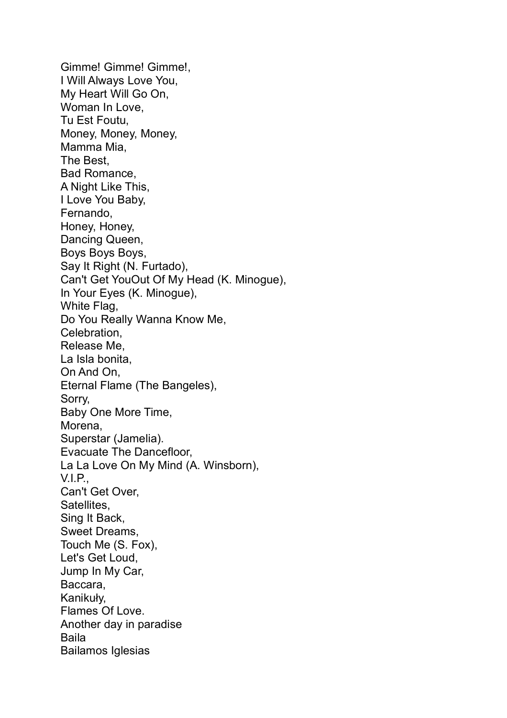Gimme! Gimme! Gimme!, I Will Always Love You, My Heart Will Go On, Woman In Love, Tu Est Foutu, Money, Money, Money, Mamma Mia, The Best, Bad Romance, A Night Like This, I Love You Baby, Fernando, Honey, Honey, Dancing Queen, Boys Boys, Say It Right (N. Furtado), Can't Get YouOut Of My Head (K. Minogue), In Your Eyes (K. Minogue), White Flag, Do You Really Wanna Know Me, Celebration, Release Me, La Isla bonita, On And On, Eternal Flame (The Bangeles), Sorry, Baby One More Time, Morena, Superstar (Jamelia). Evacuate The Dancefloor, La La Love On My Mind (A. Winsborn), V.I.P., Can't Get Over, Satellites, Sing It Back, Sweet Dreams, Touch Me (S. Fox), Let's Get Loud, Jump In My Car, Baccara, Kanikuły, Flames Of Love. Another day in paradise Baila Bailamos Iglesias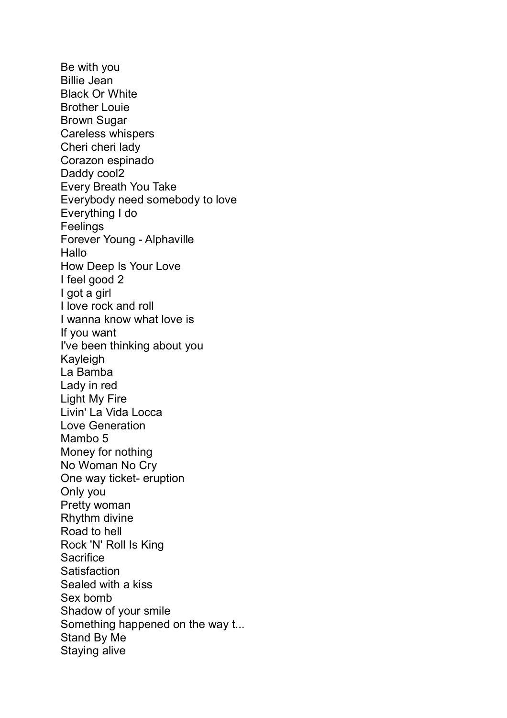Be with you Billie Jean Black Or White Brother Louie Brown Sugar Careless whispers Cheri cheri lady Corazon espinado Daddy cool2 Every Breath You Take Everybody need somebody to love Everything I do Feelings Forever Young - Alphaville **Hallo** How Deep Is Your Love I feel good 2 I got a girl I love rock and roll I wanna know what love is If you want I've been thinking about you Kayleigh La Bamba Lady in red Light My Fire Livin' La Vida Locca Love Generation Mambo 5 Money for nothing No Woman No Cry One way ticket- eruption Only you Pretty woman Rhythm divine Road to hell Rock 'N' Roll Is King **Sacrifice Satisfaction** Sealed with a kiss Sex bomb Shadow of your smile Something happened on the way t... Stand By Me Staying alive